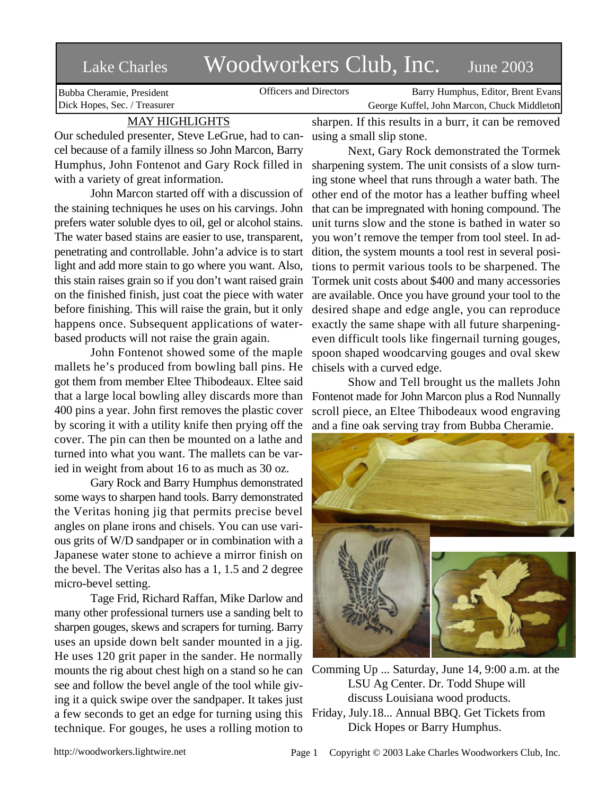## Lake Charles Woodworkers Club, Inc. June 2003

Bubba Cheramie, President Dick Hopes, Sec. / Treasurer

Officers and Directors Barry Humphus, Editor, Brent Evans George Kuffel, John Marcon, Chuck Middleton

## MAY HIGHLIGHTS

Our scheduled presenter, Steve LeGrue, had to cancel because of a family illness so John Marcon, Barry Humphus, John Fontenot and Gary Rock filled in sharpening system. The unit consists of a slow turnwith a variety of great information.

John Marcon started off with a discussion of the staining techniques he uses on his carvings. John prefers water soluble dyes to oil, gel or alcohol stains. The water based stains are easier to use, transparent, penetrating and controllable. John'a advice is to start light and add more stain to go where you want. Also, this stain raises grain so if you don't want raised grain on the finished finish, just coat the piece with water before finishing. This will raise the grain, but it only happens once. Subsequent applications of waterbased products will not raise the grain again.

John Fontenot showed some of the maple mallets he's produced from bowling ball pins. He got them from member Eltee Thibodeaux. Eltee said that a large local bowling alley discards more than 400 pins a year. John first removes the plastic cover by scoring it with a utility knife then prying off the cover. The pin can then be mounted on a lathe and turned into what you want. The mallets can be varied in weight from about 16 to as much as 30 oz.

Gary Rock and Barry Humphus demonstrated some ways to sharpen hand tools. Barry demonstrated the Veritas honing jig that permits precise bevel angles on plane irons and chisels. You can use various grits of W/D sandpaper or in combination with a Japanese water stone to achieve a mirror finish on the bevel. The Veritas also has a 1, 1.5 and 2 degree micro-bevel setting.

Tage Frid, Richard Raffan, Mike Darlow and many other professional turners use a sanding belt to sharpen gouges, skews and scrapers for turning. Barry uses an upside down belt sander mounted in a jig. He uses 120 grit paper in the sander. He normally mounts the rig about chest high on a stand so he can see and follow the bevel angle of the tool while giving it a quick swipe over the sandpaper. It takes just a few seconds to get an edge for turning using this technique. For gouges, he uses a rolling motion to

sharpen. If this results in a burr, it can be removed using a small slip stone.

Next, Gary Rock demonstrated the Tormek ing stone wheel that runs through a water bath. The other end of the motor has a leather buffing wheel that can be impregnated with honing compound. The unit turns slow and the stone is bathed in water so you won't remove the temper from tool steel. In addition, the system mounts a tool rest in several positions to permit various tools to be sharpened. The Tormek unit costs about \$400 and many accessories are available. Once you have ground your tool to the desired shape and edge angle, you can reproduce exactly the same shape with all future sharpeningeven difficult tools like fingernail turning gouges, spoon shaped woodcarving gouges and oval skew chisels with a curved edge.

Show and Tell brought us the mallets John Fontenot made for John Marcon plus a Rod Nunnally scroll piece, an Eltee Thibodeaux wood engraving and a fine oak serving tray from Bubba Cheramie.



Comming Up ... Saturday, June 14, 9:00 a.m. at the LSU Ag Center. Dr. Todd Shupe will discuss Louisiana wood products. Friday, July.18... Annual BBQ. Get Tickets from Dick Hopes or Barry Humphus.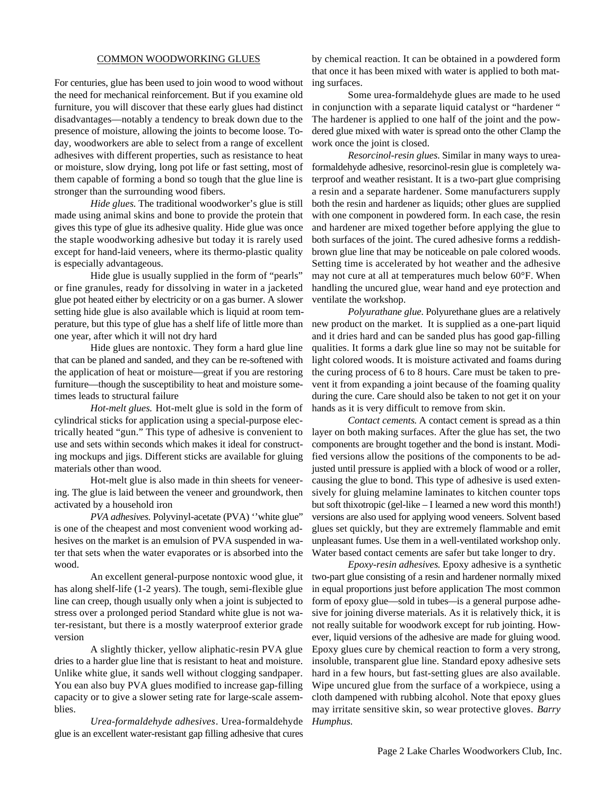## COMMON WOODWORKING GLUES

For centuries, glue has been used to join wood to wood without the need for mechanical reinforcement. But if you examine old furniture, you will discover that these early glues had distinct disadvantages—notably a tendency to break down due to the presence of moisture, allowing the joints to become loose. Today, woodworkers are able to select from a range of excellent adhesives with different properties, such as resistance to heat or moisture, slow drying, long pot life or fast setting, most of them capable of forming a bond so tough that the glue line is stronger than the surrounding wood fibers.

*Hide glues.* The traditional woodworker's glue is still made using animal skins and bone to provide the protein that gives this type of glue its adhesive quality. Hide glue was once the staple woodworking adhesive but today it is rarely used except for hand-laid veneers, where its thermo-plastic quality is especially advantageous.

Hide glue is usually supplied in the form of "pearls" or fine granules, ready for dissolving in water in a jacketed glue pot heated either by electricity or on a gas burner. A slower setting hide glue is also available which is liquid at room temperature, but this type of glue has a shelf life of little more than one year, after which it will not dry hard

Hide glues are nontoxic. They form a hard glue line that can be planed and sanded, and they can be re-softened with the application of heat or moisture—great if you are restoring furniture—though the susceptibility to heat and moisture sometimes leads to structural failure

*Hot-melt glues.* Hot-melt glue is sold in the form of cylindrical sticks for application using a special-purpose electrically heated "gun." This type of adhesive is convenient to use and sets within seconds which makes it ideal for constructing mockups and jigs. Different sticks are available for gluing materials other than wood.

Hot-melt glue is also made in thin sheets for veneering. The glue is laid between the veneer and groundwork, then activated by a household iron

*PVA adhesives*. Polyvinyl-acetate (PVA) ''white glue" is one of the cheapest and most convenient wood working adhesives on the market is an emulsion of PVA suspended in water that sets when the water evaporates or is absorbed into the wood.

An excellent general-purpose nontoxic wood glue, it has along shelf-life (1-2 years). The tough, semi-flexible glue line can creep, though usually only when a joint is subjected to stress over a prolonged period Standard white glue is not water-resistant, but there is a mostly waterproof exterior grade version

A slightly thicker, yellow aliphatic-resin PVA glue dries to a harder glue line that is resistant to heat and moisture. Unlike white glue, it sands well without clogging sandpaper. You ean also buy PVA glues modified to increase gap-filling capacity or to give a slower seting rate for large-scale assemblies.

*Urea-formaldehyde adhesives*. Urea-formaldehyde glue is an excellent water-resistant gap filling adhesive that cures

by chemical reaction. It can be obtained in a powdered form that once it has been mixed with water is applied to both mating surfaces.

Some urea-formaldehyde glues are made to he used in conjunction with a separate liquid catalyst or "hardener " The hardener is applied to one half of the joint and the powdered glue mixed with water is spread onto the other Clamp the work once the joint is closed.

*Resorcinol-resin glues*. Similar in many ways to ureaformaldehyde adhesive, resorcinol-resin glue is completely waterproof and weather resistant. It is a two-part glue comprising a resin and a separate hardener. Some manufacturers supply both the resin and hardener as liquids; other glues are supplied with one component in powdered form. In each case, the resin and hardener are mixed together before applying the glue to both surfaces of the joint. The cured adhesive forms a reddishbrown glue line that may be noticeable on pale colored woods. Setting time is accelerated by hot weather and the adhesive may not cure at all at temperatures much below 60°F. When handling the uncured glue, wear hand and eye protection and ventilate the workshop.

*Polyurathane glue*. Polyurethane glues are a relatively new product on the market. It is supplied as a one-part liquid and it dries hard and can be sanded plus has good gap-filling qualities. It forms a dark glue line so may not be suitable for light colored woods. It is moisture activated and foams during the curing process of 6 to 8 hours. Care must be taken to prevent it from expanding a joint because of the foaming quality during the cure. Care should also be taken to not get it on your hands as it is very difficult to remove from skin.

*Contact cements*. A contact cement is spread as a thin layer on both making surfaces. After the glue has set, the two components are brought together and the bond is instant. Modified versions allow the positions of the components to be adjusted until pressure is applied with a block of wood or a roller, causing the glue to bond. This type of adhesive is used extensively for gluing melamine laminates to kitchen counter tops but soft thixotropic (gel-like – I learned a new word this month!) versions are also used for applying wood veneers. Solvent based glues set quickly, but they are extremely flammable and emit unpleasant fumes. Use them in a well-ventilated workshop only. Water based contact cements are safer but take longer to dry.

*Epoxy-resin adhesives*. Epoxy adhesive is a synthetic two-part glue consisting of a resin and hardener normally mixed in equal proportions just before application The most common form of epoxy glue—sold in tubes*—*is a general purpose adhesive for joining diverse materials. As it is relatively thick, it is not really suitable for woodwork except for rub jointing. However, liquid versions of the adhesive are made for gluing wood. Epoxy glues cure by chemical reaction to form a very strong, insoluble, transparent glue line. Standard epoxy adhesive sets hard in a few hours, but fast-setting glues are also available. Wipe uncured glue from the surface of a workpiece, using a cloth dampened with rubbing alcohol. Note that epoxy glues may irritate sensitive skin, so wear protective gloves. *Barry Humphus*.